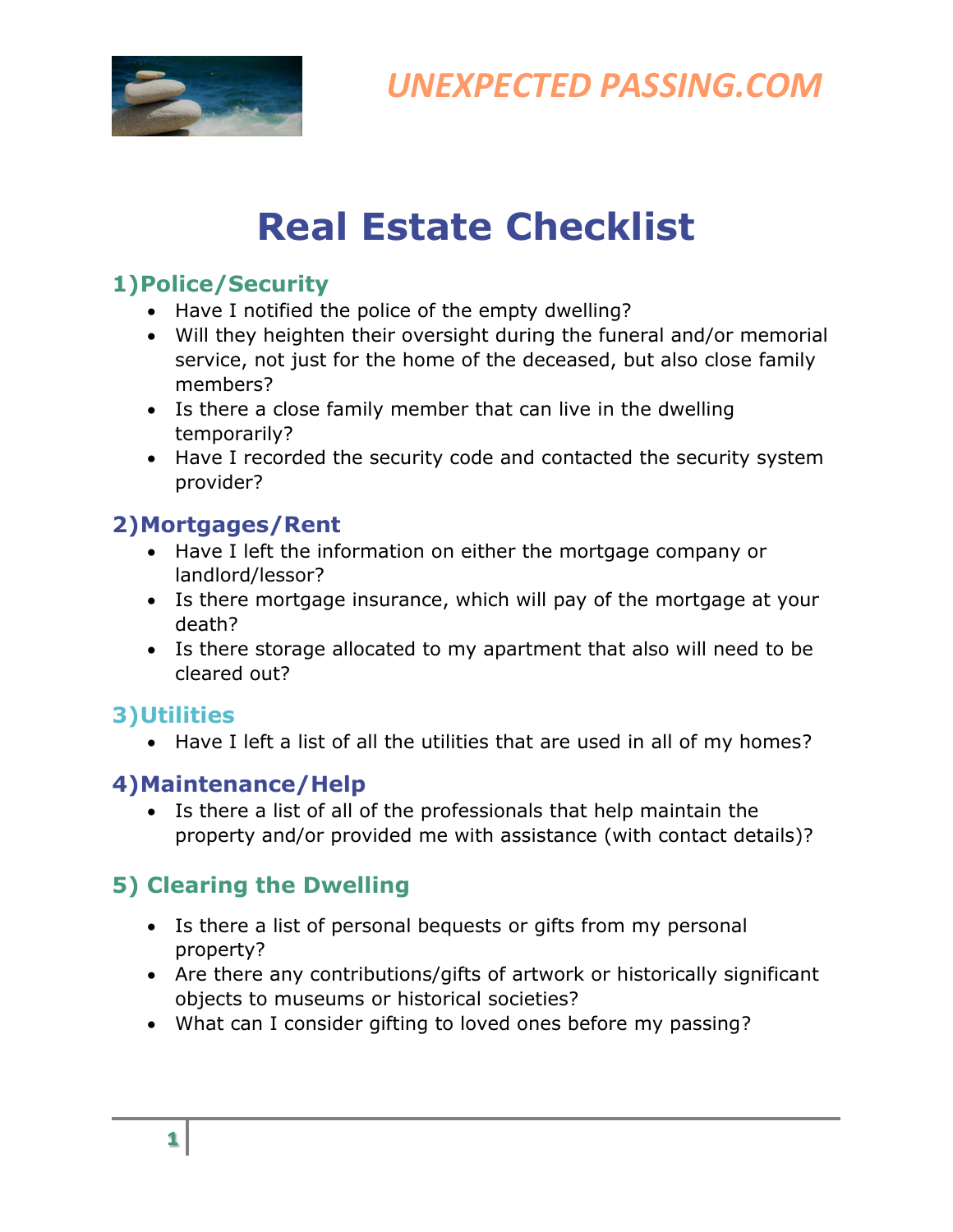

*UNEXPECTED PASSING.COM*

# **Real Estate Checklist**

#### **1)Police/Security**

- Have I notified the police of the empty dwelling?
- Will they heighten their oversight during the funeral and/or memorial service, not just for the home of the deceased, but also close family members?
- Is there a close family member that can live in the dwelling temporarily?
- Have I recorded the security code and contacted the security system provider?

### **2)Mortgages/Rent**

- Have I left the information on either the mortgage company or landlord/lessor?
- Is there mortgage insurance, which will pay of the mortgage at your death?
- Is there storage allocated to my apartment that also will need to be cleared out?

#### **3)Utilities**

• Have I left a list of all the utilities that are used in all of my homes?

## **4)Maintenance/Help**

• Is there a list of all of the professionals that help maintain the property and/or provided me with assistance (with contact details)?

# **5) Clearing the Dwelling**

- Is there a list of personal bequests or gifts from my personal property?
- Are there any contributions/gifts of artwork or historically significant objects to museums or historical societies?
- What can I consider gifting to loved ones before my passing?